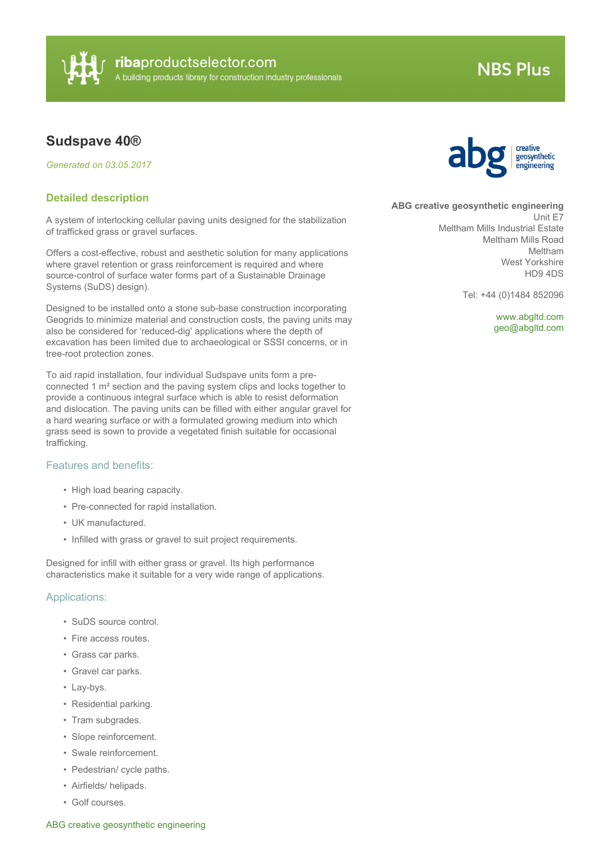

# **NBS Plus**

# **Sudspave 40®**

*Generated on 03.05.2017*

## **Detailed description**

A system of interlocking cellular paving units designed for the stabilization of trafficked grass or gravel surfaces.

Offers a cost-effective, robust and aesthetic solution for many applications where gravel retention or grass reinforcement is required and where source-control of surface water forms part of a Sustainable Drainage Systems (SuDS) design).

Designed to be installed onto a stone sub-base construction incorporating Geogrids to minimize material and construction costs, the paving units may also be considered for 'reduced-dig' applications where the depth of excavation has been limited due to archaeological or SSSI concerns, or in tree-root protection zones.

To aid rapid installation, four individual Sudspave units form a preconnected 1 m² section and the paving system clips and locks together to provide a continuous integral surface which is able to resist deformation and dislocation. The paving units can be filled with either angular gravel for a hard wearing surface or with a formulated growing medium into which grass seed is sown to provide a vegetated finish suitable for occasional trafficking.

# Features and benefits:

- High load bearing capacity.
- Pre-connected for rapid installation.
- UK manufactured.
- Infilled with grass or gravel to suit project requirements.

Designed for infill with either grass or gravel. Its high performance characteristics make it suitable for a very wide range of applications.

#### Applications:

- SuDS source control.
- Fire access routes.
- Grass car parks.
- Gravel car parks.
- Lay-bys.
- Residential parking.
- Tram subgrades.
- Slope reinforcement.
- Swale reinforcement.
- Pedestrian/ cycle paths.
- Airfields/ helipads.
- Golf courses.



**ABG creative geosynthetic engineering**

Unit E7 Meltham Mills Industrial Estate Meltham Mills Road Meltham West Yorkshire HD9 4DS

Tel: +44 (0)1484 852096

<www.abgltd.com> [geo@abgltd.com](mailto:geo@abgltd.com?subject=Sudspave 40�)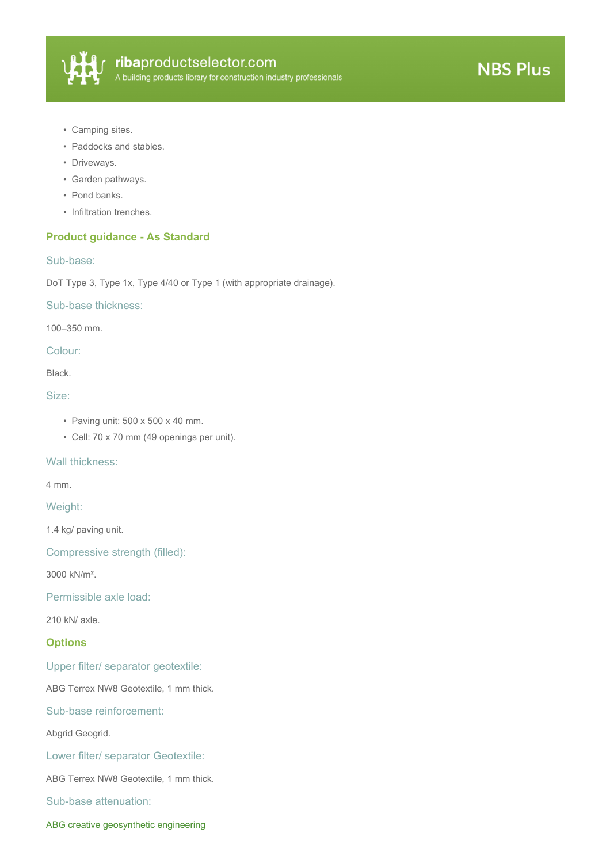

- Camping sites.
- Paddocks and stables.
- Driveways.
- Garden pathways.
- Pond banks.
- Infiltration trenches.

# **Product guidance - As Standard**

#### Sub-base:

DoT Type 3, Type 1x, Type 4/40 or Type 1 (with appropriate drainage).

Sub-base thickness:

100–350 mm.

Colour:

Black.

#### Size:

- Paving unit: 500 x 500 x 40 mm.
- Cell: 70 x 70 mm (49 openings per unit).

#### Wall thickness:

4 mm.

#### Weight:

1.4 kg/ paving unit.

Compressive strength (filled):

3000 kN/m².

Permissible axle load:

210 kN/ axle.

# **Options**

Upper filter/ separator geotextile:

ABG Terrex NW8 Geotextile, 1 mm thick.

Sub-base reinforcement:

Abgrid Geogrid.

Lower filter/ separator Geotextile:

ABG Terrex NW8 Geotextile, 1 mm thick.

Sub-base attenuation:

ABG creative geosynthetic engineering